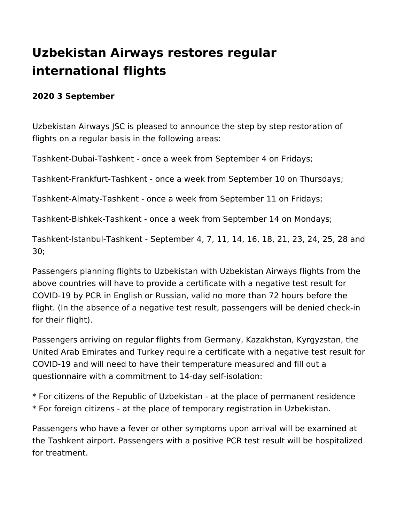## **Uzbekistan Airways restores regular international flights**

## **2020 3 September**

Uzbekistan Airways JSC is pleased to announce the step by step restoration of flights on a regular basis in the following areas:

Tashkent-Dubai-Tashkent - once a week from September 4 on Fridays;

Tashkent-Frankfurt-Tashkent - once a week from September 10 on Thursdays;

Tashkent-Almaty-Tashkent - once a week from September 11 on Fridays;

Tashkent-Bishkek-Tashkent - once a week from September 14 on Mondays;

Tashkent-Istanbul-Tashkent - September 4, 7, 11, 14, 16, 18, 21, 23, 24, 25, 28 and 30;

Passengers planning flights to Uzbekistan with Uzbekistan Airways flights from the above countries will have to provide a certificate with a negative test result for COVID-19 by PCR in English or Russian, valid no more than 72 hours before the flight. (In the absence of a negative test result, passengers will be denied check-in for their flight).

Passengers arriving on regular flights from Germany, Kazakhstan, Kyrgyzstan, the United Arab Emirates and Turkey require a certificate with a negative test result for COVID-19 and will need to have their temperature measured and fill out a questionnaire with a commitment to 14-day self-isolation:

\* For citizens of the Republic of Uzbekistan - at the place of permanent residence \* For foreign citizens - at the place of temporary registration in Uzbekistan.

Passengers who have a fever or other symptoms upon arrival will be examined at the Tashkent airport. Passengers with a positive PCR test result will be hospitalized for treatment.